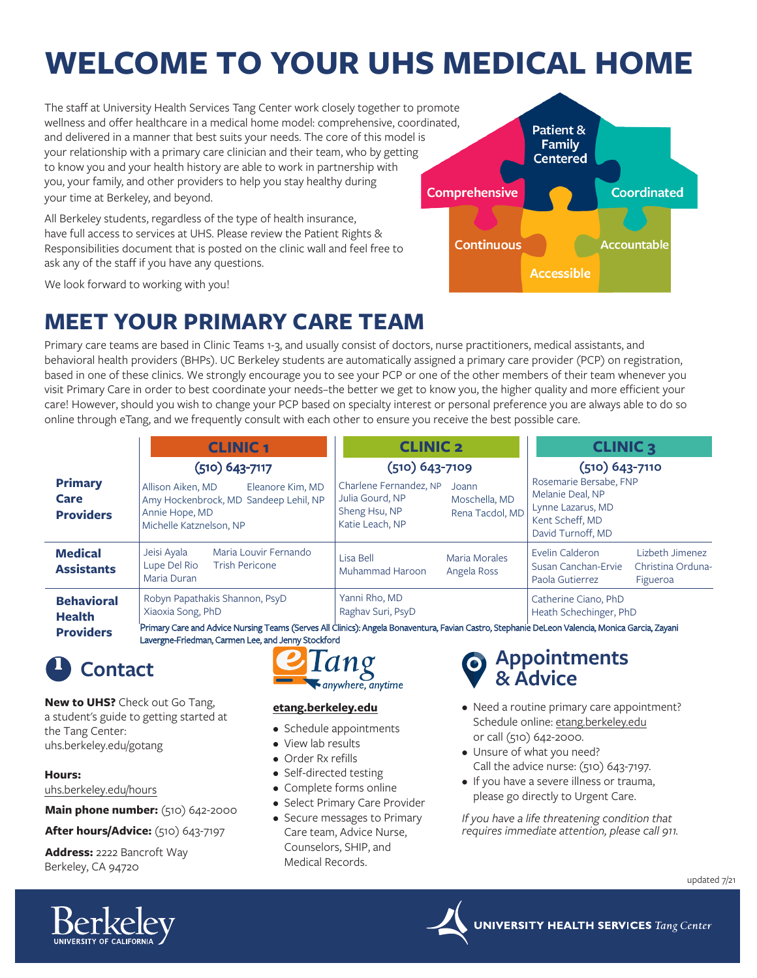# **WELCOME TO YOUR UHS MEDICAL HOME**

The staff at University Health Services Tang Center work closely together to promote wellness and offer healthcare in a medical home model: comprehensive, coordinated, and delivered in a manner that best suits your needs. The core of this model is your relationship with a primary care clinician and their team, who by getting to know you and your health history are able to work in partnership with you, your family, and other providers to help you stay healthy during your time at Berkeley, and beyond.

All Berkeley students, regardless of the type of health insurance, have full access to services at UHS. Please review the Patient Rights & Responsibilities document that is posted on the clinic wall and feel free to ask any of the staff if you have any questions.



We look forward to working with you!

## **MEET YOUR PRIMARY CARE TEAM**

Primary care teams are based in Clinic Teams 1-3, and usually consist of doctors, nurse practitioners, medical assistants, and behavioral health providers (BHPs). UC Berkeley students are automatically assigned a primary care provider (PCP) on registration, based in one of these clinics. We strongly encourage you to see your PCP or one of the other members of their team whenever you visit Primary Care in order to best coordinate your needs–the better we get to know you, the higher quality and more efficient your care! However, should you wish to change your PCP based on specialty interest or personal preference you are always able to do so online through eTang, and we frequently consult with each other to ensure you receive the best possible care.

|                                            | <b>CLINIC1</b>                                                                                                                                  | <b>CLINIC 2</b>                                                                                                            | <b>CLINIC 3</b>                                                                                               |
|--------------------------------------------|-------------------------------------------------------------------------------------------------------------------------------------------------|----------------------------------------------------------------------------------------------------------------------------|---------------------------------------------------------------------------------------------------------------|
|                                            | $(510)$ 643-7117                                                                                                                                | (510) 643-7109                                                                                                             | (510) 643-7110                                                                                                |
| <b>Primary</b><br>Care<br><b>Providers</b> | Allison Aiken, MD<br>Eleanore Kim, MD<br>Amy Hockenbrock, MD Sandeep Lehil, NP<br>Annie Hope, MD<br>Michelle Katznelson, NP                     | Charlene Fernandez, NP<br>Joann<br>Julia Gourd, NP<br>Moschella, MD<br>Sheng Hsu, NP<br>Rena Tacdol, MD<br>Katie Leach, NP | Rosemarie Bersabe, FNP<br>Melanie Deal, NP<br>Lynne Lazarus, MD<br>Kent Scheff, MD<br>David Turnoff, MD       |
| <b>Medical</b><br><b>Assistants</b>        | Jeisi Ayala<br>Maria Louvir Fernando<br>Lupe Del Rio<br><b>Trish Pericone</b><br>Maria Duran                                                    | Lisa Bell<br>Maria Morales<br>Muhammad Haroon<br>Angela Ross                                                               | Evelin Calderon<br>Lizbeth Jimenez<br>Susan Canchan-Ervie<br>Christina Orduna-<br>Paola Gutierrez<br>Figueroa |
| <b>Behavioral</b><br><b>Health</b>         | Robyn Papathakis Shannon, PsyD<br>Xiaoxia Song, PhD                                                                                             | Yanni Rho, MD<br>Raghav Suri, PsyD                                                                                         | Catherine Ciano, PhD<br>Heath Schechinger, PhD                                                                |
| <b>Providers</b>                           | Primary Care and Advice Nursing Teams (Serves All Clinics): Angela Bonaventura, Favian Castro, Stephanie DeLeon Valencia, Monica Garcia, Zayani |                                                                                                                            |                                                                                                               |

Primary Care and Advice Nursing Teams (Serves All Clinics): Angela Bonaventura, Favian Castro, Stephanie DeLeon Valencia, Monica Garcia, Zayani Lavergne-Friedman, Carmen Lee, and Jenny Stockford

**New to UHS?** Check out Go Tang, a student's guide to getting started at the Tang Center: uhs.berkeley.edu/gotang

**Hours:** 

uhs.berkeley.edu/hours

**Main phone number:** (510) 642-2000

**After hours/Advice:** (510) 643-7197

**Address:** 2222 Bancroft Way Berkeley, CA 94720



### **etang.berkeley.edu**

- Schedule appointments
- View lab results
- Order Rx refills
- Self-directed testing
- Complete forms online
- Select Primary Care Provider
- Secure messages to Primary Care team, Advice Nurse, Counselors, SHIP, and Medical Records.

# **Contact Appointments**<br> **Appointments Advice Advice Advice Advice Advice Advice Advice Advice Advice Advice Advice Advice Advice Advice Advice Advice Advice Advice**

- Need a routine primary care appointment? Schedule online: etang.berkeley.edu or call (510) 642-2000.
- Unsure of what you need? Call the advice nurse: (510) 643-7197.
- If you have a severe illness or trauma, please go directly to Urgent Care.

*If you have a life threatening condition that requires immediate attention, please call 911.*